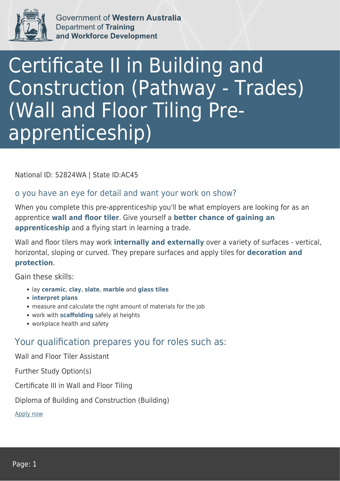

Government of Western Australia Department of Training and Workforce Development

## Certificate II in Building and Construction (Pathway - Trades) (Wall and Floor Tiling Preapprenticeship)

National ID: 52824WA | State ID:AC45

## o you have an eye for detail and want your work on show?

When you complete this pre-apprenticeship you'll be what employers are looking for as an apprentice **wall and floor tiler**. Give yourself a **better chance of gaining an apprenticeship** and a flying start in learning a trade.

Wall and floor tilers may work **internally and externally** over a variety of surfaces - vertical, horizontal, sloping or curved. They prepare surfaces and apply tiles for **decoration and protection**.

Gain these skills:

- lay **ceramic**, **clay**, **slate**, **marble** and **glass tiles**
- **interpret plans**
- measure and calculate the right amount of materials for the job
- work with **scaffolding** safely at heights
- workplace health and safety

## Your qualification prepares you for roles such as:

Wall and Floor Tiler Assistant

Further Study Option(s)

Certificate III in Wall and Floor Tiling

Diploma of Building and Construction (Building)

[Apply now](https://tasonline.tafe.wa.edu.au/Default.aspx)